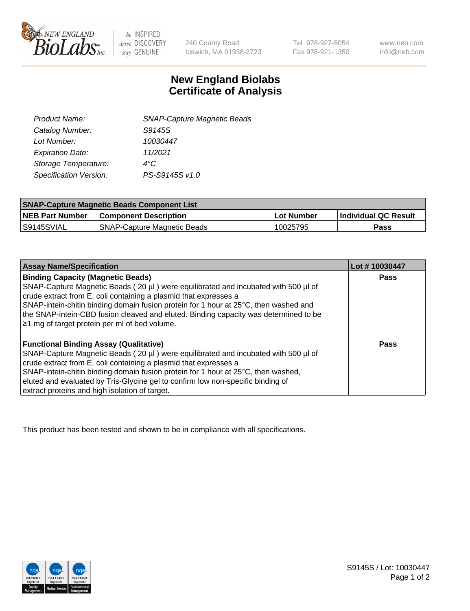

 $be$  INSPIRED drive DISCOVERY stay GENUINE

240 County Road Ipswich, MA 01938-2723

Tel 978-927-5054 Fax 978-921-1350 www.neb.com info@neb.com

## **New England Biolabs Certificate of Analysis**

| <b>SNAP-Capture Magnetic Beads</b> |
|------------------------------------|
| S9145S                             |
| 10030447                           |
| 11/2021                            |
| $4^{\circ}$ C                      |
| PS-S9145S v1.0                     |
|                                    |

| <b>SNAP-Capture Magnetic Beads Component List</b> |                                    |            |                             |  |
|---------------------------------------------------|------------------------------------|------------|-----------------------------|--|
| <b>NEB Part Number</b>                            | <b>Component Description</b>       | Lot Number | <b>Individual QC Result</b> |  |
| IS9145SVIAL                                       | <b>SNAP-Capture Magnetic Beads</b> | 10025795   | Pass                        |  |

| <b>Assay Name/Specification</b>                                                      | Lot #10030447 |
|--------------------------------------------------------------------------------------|---------------|
| <b>Binding Capacity (Magnetic Beads)</b>                                             | <b>Pass</b>   |
| SNAP-Capture Magnetic Beads (20 µl) were equilibrated and incubated with 500 µl of   |               |
| crude extract from E. coli containing a plasmid that expresses a                     |               |
| SNAP-intein-chitin binding domain fusion protein for 1 hour at 25°C, then washed and |               |
| the SNAP-intein-CBD fusion cleaved and eluted. Binding capacity was determined to be |               |
| $\geq$ 1 mg of target protein per ml of bed volume.                                  |               |
|                                                                                      |               |
| <b>Functional Binding Assay (Qualitative)</b>                                        | Pass          |
| SNAP-Capture Magnetic Beads (20 µl) were equilibrated and incubated with 500 µl of   |               |
| crude extract from E. coli containing a plasmid that expresses a                     |               |
| SNAP-intein-chitin binding domain fusion protein for 1 hour at 25°C, then washed,    |               |
| eluted and evaluated by Tris-Glycine gel to confirm low non-specific binding of      |               |
| extract proteins and high isolation of target.                                       |               |

This product has been tested and shown to be in compliance with all specifications.